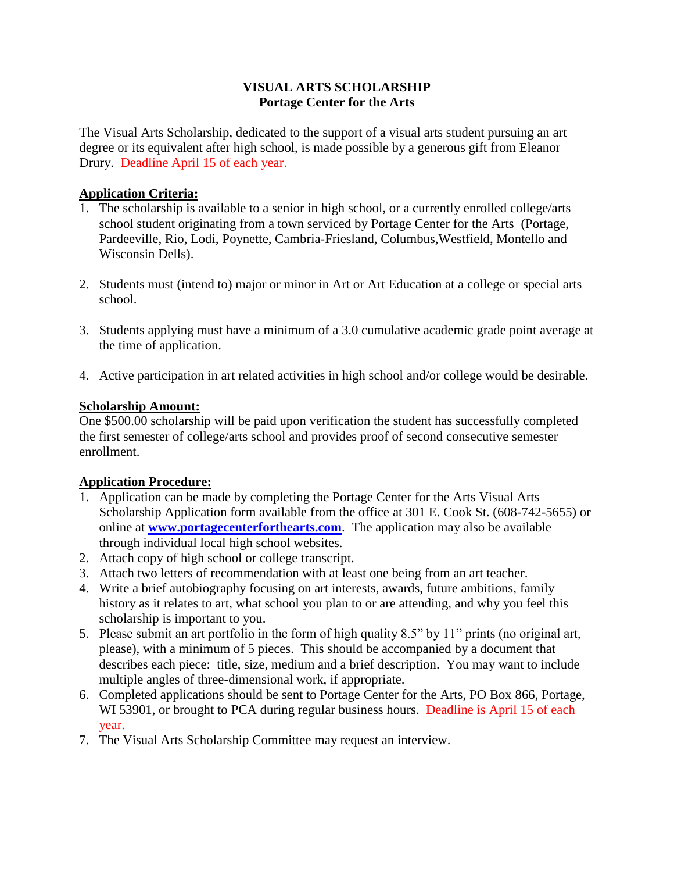## **VISUAL ARTS SCHOLARSHIP Portage Center for the Arts**

The Visual Arts Scholarship, dedicated to the support of a visual arts student pursuing an art degree or its equivalent after high school, is made possible by a generous gift from Eleanor Drury. Deadline April 15 of each year.

## **Application Criteria:**

- 1. The scholarship is available to a senior in high school, or a currently enrolled college/arts school student originating from a town serviced by Portage Center for the Arts (Portage, Pardeeville, Rio, Lodi, Poynette, Cambria-Friesland, Columbus,Westfield, Montello and Wisconsin Dells).
- 2. Students must (intend to) major or minor in Art or Art Education at a college or special arts school.
- 3. Students applying must have a minimum of a 3.0 cumulative academic grade point average at the time of application.
- 4. Active participation in art related activities in high school and/or college would be desirable.

## **Scholarship Amount:**

One \$500.00 scholarship will be paid upon verification the student has successfully completed the first semester of college/arts school and provides proof of second consecutive semester enrollment.

# **Application Procedure:**

- 1. Application can be made by completing the Portage Center for the Arts Visual Arts Scholarship Application form available from the office at 301 E. Cook St. (608-742-5655) or online at **[www.portagecenterforthearts.com](http://www.portagecenterforthearts.com/)**. The application may also be available through individual local high school websites.
- 2. Attach copy of high school or college transcript.
- 3. Attach two letters of recommendation with at least one being from an art teacher.
- 4. Write a brief autobiography focusing on art interests, awards, future ambitions, family history as it relates to art, what school you plan to or are attending, and why you feel this scholarship is important to you.
- 5. Please submit an art portfolio in the form of high quality 8.5" by 11" prints (no original art, please), with a minimum of 5 pieces. This should be accompanied by a document that describes each piece: title, size, medium and a brief description. You may want to include multiple angles of three-dimensional work, if appropriate.
- 6. Completed applications should be sent to Portage Center for the Arts, PO Box 866, Portage, WI 53901, or brought to PCA during regular business hours. Deadline is April 15 of each year.
- 7. The Visual Arts Scholarship Committee may request an interview.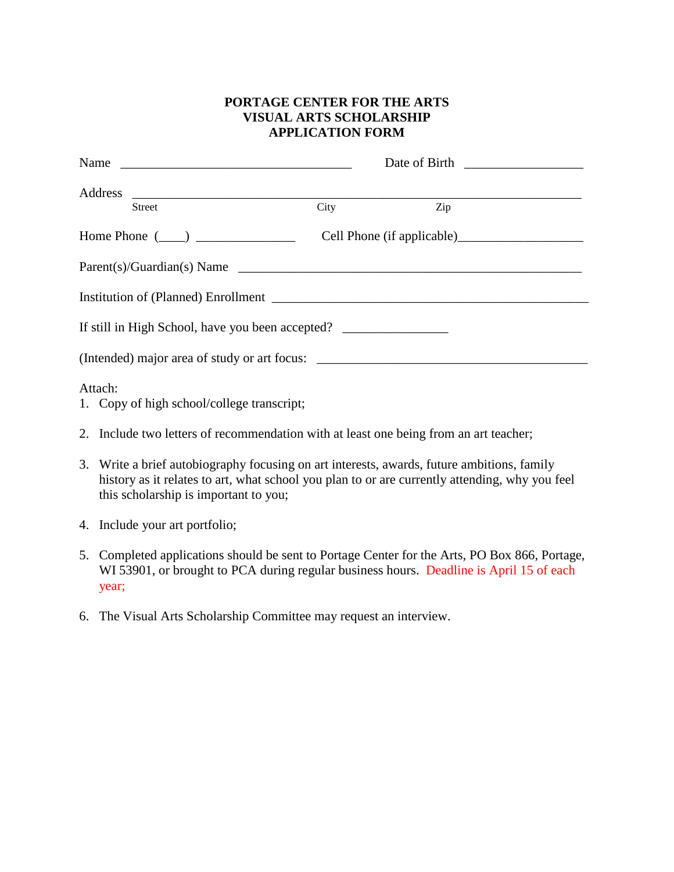## **PORTAGE CENTER FOR THE ARTS VISUAL ARTS SCHOLARSHIP APPLICATION FORM**

| Address                                                                          |      |     |
|----------------------------------------------------------------------------------|------|-----|
| Street                                                                           | City | Zip |
|                                                                                  |      |     |
| Parent(s)/Guardian(s) Name                                                       |      |     |
|                                                                                  |      |     |
| If still in High School, have you been accepted? _______________________________ |      |     |
|                                                                                  |      |     |
| Attach:<br>1. Copy of high school/college transcript;                            |      |     |

- 
- 2. Include two letters of recommendation with at least one being from an art teacher;
- 3. Write a brief autobiography focusing on art interests, awards, future ambitions, family history as it relates to art, what school you plan to or are currently attending, why you feel this scholarship is important to you;
- 4. Include your art portfolio;
- 5. Completed applications should be sent to Portage Center for the Arts, PO Box 866, Portage, WI 53901, or brought to PCA during regular business hours. Deadline is April 15 of each year;
- 6. The Visual Arts Scholarship Committee may request an interview.